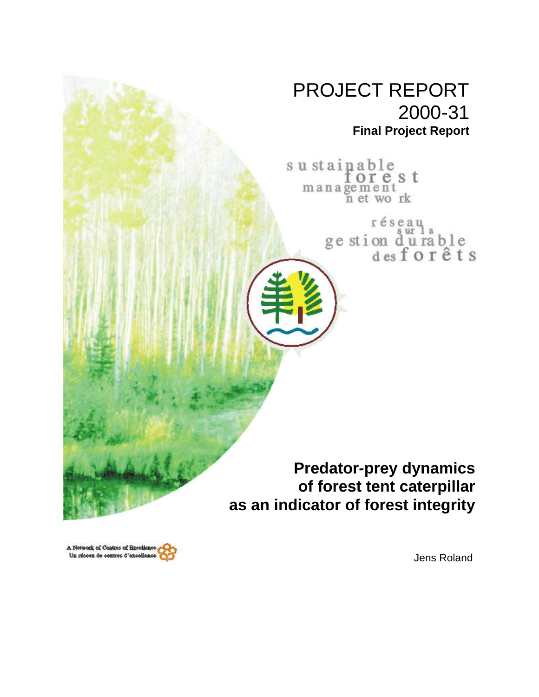## PROJECT REPORT 2000-31 **Final Project Report**

sustainable orest management<br>n et work

> réseau ge stion du rable<br>desforêts

**Predator-prey dynamics of forest tent caterpillar as an indicator of forest integrity**

A Network of Centres of Excellence Un réseau de centres d'excellence

Jens Roland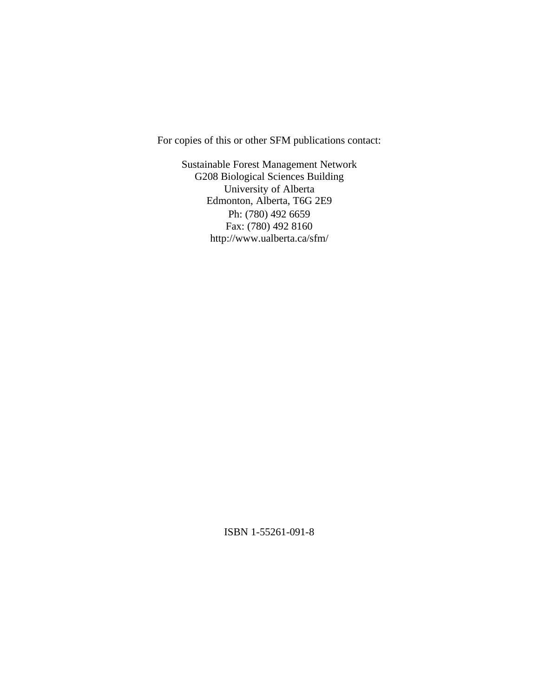For copies of this or other SFM publications contact:

Sustainable Forest Management Network G208 Biological Sciences Building University of Alberta Edmonton, Alberta, T6G 2E9 Ph: (780) 492 6659 Fax: (780) 492 8160 http://www.ualberta.ca/sfm/

ISBN 1-55261-091-8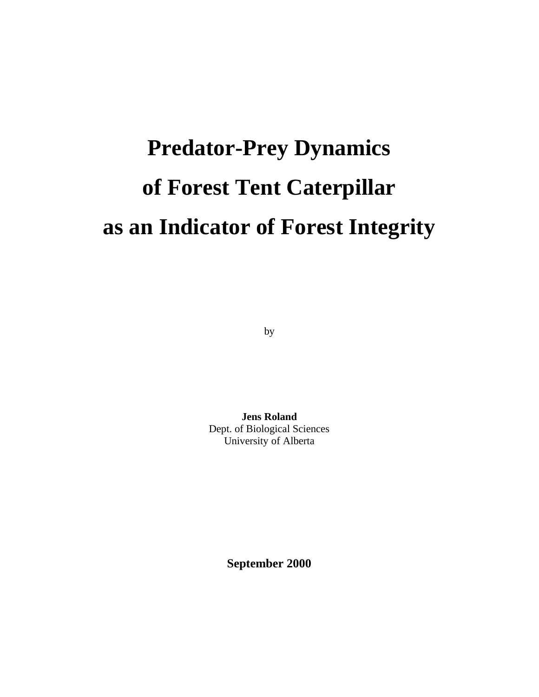# **Predator-Prey Dynamics of Forest Tent Caterpillar as an Indicator of Forest Integrity**

by

**Jens Roland** Dept. of Biological Sciences University of Alberta

**September 2000**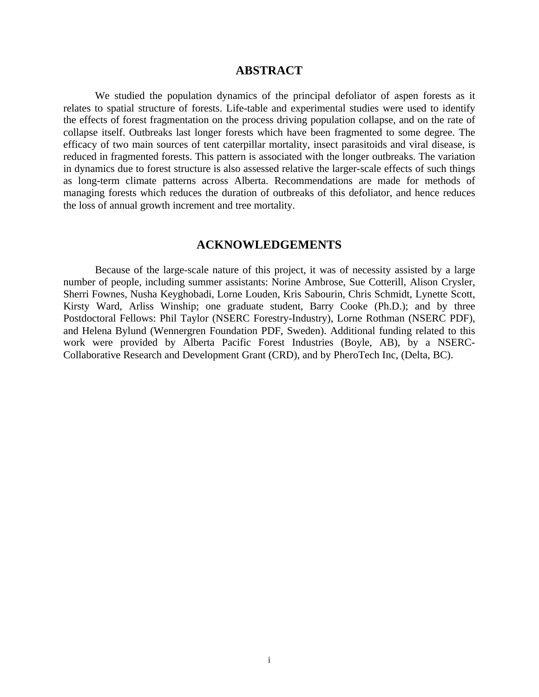#### **ABSTRACT**

We studied the population dynamics of the principal defoliator of aspen forests as it relates to spatial structure of forests. Life-table and experimental studies were used to identify the effects of forest fragmentation on the process driving population collapse, and on the rate of collapse itself. Outbreaks last longer forests which have been fragmented to some degree. The efficacy of two main sources of tent caterpillar mortality, insect parasitoids and viral disease, is reduced in fragmented forests. This pattern is associated with the longer outbreaks. The variation in dynamics due to forest structure is also assessed relative the larger-scale effects of such things as long-term climate patterns across Alberta. Recommendations are made for methods of managing forests which reduces the duration of outbreaks of this defoliator, and hence reduces the loss of annual growth increment and tree mortality.

#### **ACKNOWLEDGEMENTS**

Because of the large-scale nature of this project, it was of necessity assisted by a large number of people, including summer assistants: Norine Ambrose, Sue Cotterill, Alison Crysler, Sherri Fownes, Nusha Keyghobadi, Lorne Louden, Kris Sabourin, Chris Schmidt, Lynette Scott, Kirsty Ward, Arliss Winship; one graduate student, Barry Cooke (Ph.D.); and by three Postdoctoral Fellows: Phil Taylor (NSERC Forestry-Industry), Lorne Rothman (NSERC PDF), and Helena Bylund (Wennergren Foundation PDF, Sweden). Additional funding related to this work were provided by Alberta Pacific Forest Industries (Boyle, AB), by a NSERC-Collaborative Research and Development Grant (CRD), and by PheroTech Inc, (Delta, BC).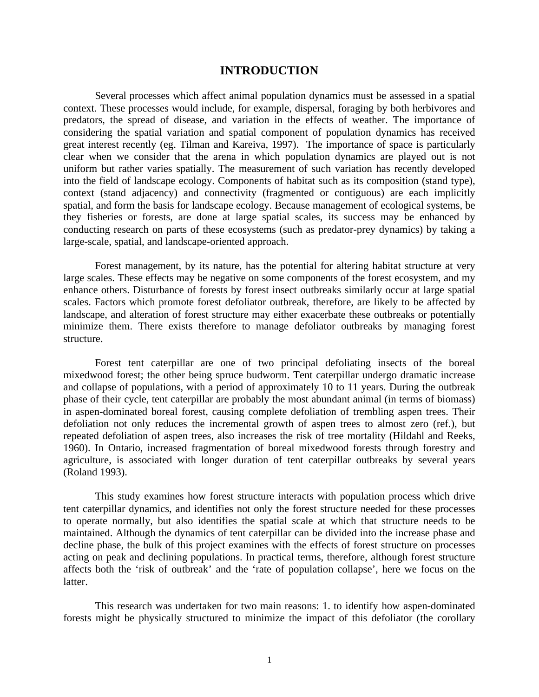#### **INTRODUCTION**

Several processes which affect animal population dynamics must be assessed in a spatial context. These processes would include, for example, dispersal, foraging by both herbivores and predators, the spread of disease, and variation in the effects of weather. The importance of considering the spatial variation and spatial component of population dynamics has received great interest recently (eg. Tilman and Kareiva, 1997). The importance of space is particularly clear when we consider that the arena in which population dynamics are played out is not uniform but rather varies spatially. The measurement of such variation has recently developed into the field of landscape ecology. Components of habitat such as its composition (stand type), context (stand adjacency) and connectivity (fragmented or contiguous) are each implicitly spatial, and form the basis for landscape ecology. Because management of ecological systems, be they fisheries or forests, are done at large spatial scales, its success may be enhanced by conducting research on parts of these ecosystems (such as predator-prey dynamics) by taking a large-scale, spatial, and landscape-oriented approach.

Forest management, by its nature, has the potential for altering habitat structure at very large scales. These effects may be negative on some components of the forest ecosystem, and my enhance others. Disturbance of forests by forest insect outbreaks similarly occur at large spatial scales. Factors which promote forest defoliator outbreak, therefore, are likely to be affected by landscape, and alteration of forest structure may either exacerbate these outbreaks or potentially minimize them. There exists therefore to manage defoliator outbreaks by managing forest structure.

Forest tent caterpillar are one of two principal defoliating insects of the boreal mixedwood forest; the other being spruce budworm. Tent caterpillar undergo dramatic increase and collapse of populations, with a period of approximately 10 to 11 years. During the outbreak phase of their cycle, tent caterpillar are probably the most abundant animal (in terms of biomass) in aspen-dominated boreal forest, causing complete defoliation of trembling aspen trees. Their defoliation not only reduces the incremental growth of aspen trees to almost zero (ref.), but repeated defoliation of aspen trees, also increases the risk of tree mortality (Hildahl and Reeks, 1960). In Ontario, increased fragmentation of boreal mixedwood forests through forestry and agriculture, is associated with longer duration of tent caterpillar outbreaks by several years (Roland 1993).

This study examines how forest structure interacts with population process which drive tent caterpillar dynamics, and identifies not only the forest structure needed for these processes to operate normally, but also identifies the spatial scale at which that structure needs to be maintained. Although the dynamics of tent caterpillar can be divided into the increase phase and decline phase, the bulk of this project examines with the effects of forest structure on processes acting on peak and declining populations. In practical terms, therefore, although forest structure affects both the 'risk of outbreak' and the 'rate of population collapse', here we focus on the latter.

This research was undertaken for two main reasons: 1. to identify how aspen-dominated forests might be physically structured to minimize the impact of this defoliator (the corollary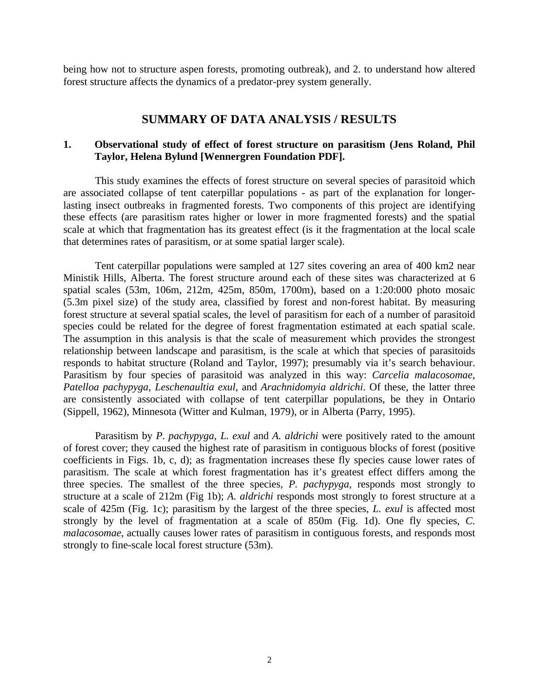being how not to structure aspen forests, promoting outbreak), and 2. to understand how altered forest structure affects the dynamics of a predator-prey system generally.

#### **SUMMARY OF DATA ANALYSIS / RESULTS**

#### **1. Observational study of effect of forest structure on parasitism (Jens Roland, Phil Taylor, Helena Bylund [Wennergren Foundation PDF].**

This study examines the effects of forest structure on several species of parasitoid which are associated collapse of tent caterpillar populations - as part of the explanation for longerlasting insect outbreaks in fragmented forests. Two components of this project are identifying these effects (are parasitism rates higher or lower in more fragmented forests) and the spatial scale at which that fragmentation has its greatest effect (is it the fragmentation at the local scale that determines rates of parasitism, or at some spatial larger scale).

Tent caterpillar populations were sampled at 127 sites covering an area of 400 km2 near Ministik Hills, Alberta. The forest structure around each of these sites was characterized at 6 spatial scales (53m, 106m, 212m, 425m, 850m, 1700m), based on a 1:20:000 photo mosaic (5.3m pixel size) of the study area, classified by forest and non-forest habitat. By measuring forest structure at several spatial scales, the level of parasitism for each of a number of parasitoid species could be related for the degree of forest fragmentation estimated at each spatial scale. The assumption in this analysis is that the scale of measurement which provides the strongest relationship between landscape and parasitism, is the scale at which that species of parasitoids responds to habitat structure (Roland and Taylor, 1997); presumably via it's search behaviour. Parasitism by four species of parasitoid was analyzed in this way: *Carcelia malacosomae*, *Patelloa pachypyga*, *Leschenaultia exul*, and *Arachnidomyia aldrichi*. Of these, the latter three are consistently associated with collapse of tent caterpillar populations, be they in Ontario (Sippell, 1962), Minnesota (Witter and Kulman, 1979), or in Alberta (Parry, 1995).

Parasitism by *P. pachypyga*, *L. exul* and *A. aldrichi* were positively rated to the amount of forest cover; they caused the highest rate of parasitism in contiguous blocks of forest (positive coefficients in Figs. 1b, c, d); as fragmentation increases these fly species cause lower rates of parasitism. The scale at which forest fragmentation has it's greatest effect differs among the three species. The smallest of the three species, *P. pachypyga*, responds most strongly to structure at a scale of 212m (Fig 1b); *A. aldrichi* responds most strongly to forest structure at a scale of 425m (Fig. 1c); parasitism by the largest of the three species, *L. exul* is affected most strongly by the level of fragmentation at a scale of 850m (Fig. 1d). One fly species, *C. malacosomae*, actually causes lower rates of parasitism in contiguous forests, and responds most strongly to fine-scale local forest structure (53m).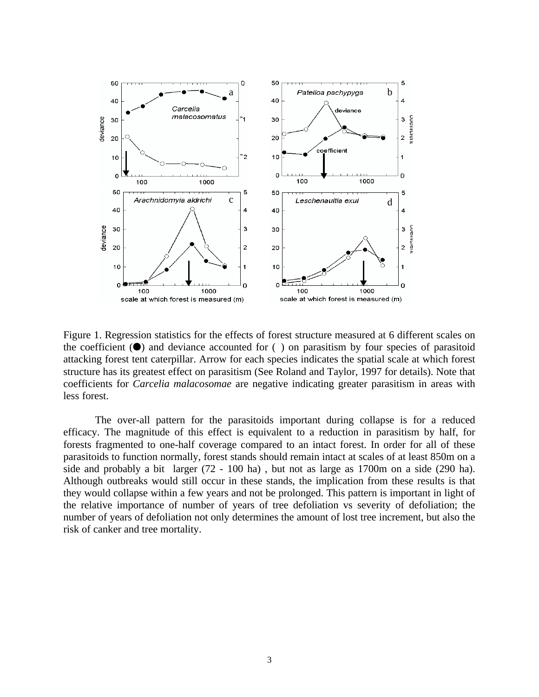

Figure 1. Regression statistics for the effects of forest structure measured at 6 different scales on the coefficient  $(\bullet)$  and deviance accounted for () on parasitism by four species of parasitoid attacking forest tent caterpillar. Arrow for each species indicates the spatial scale at which forest structure has its greatest effect on parasitism (See Roland and Taylor, 1997 for details). Note that coefficients for *Carcelia malacosomae* are negative indicating greater parasitism in areas with less forest.

The over-all pattern for the parasitoids important during collapse is for a reduced efficacy. The magnitude of this effect is equivalent to a reduction in parasitism by half, for forests fragmented to one-half coverage compared to an intact forest. In order for all of these parasitoids to function normally, forest stands should remain intact at scales of at least 850m on a side and probably a bit larger (72 - 100 ha) , but not as large as 1700m on a side (290 ha). Although outbreaks would still occur in these stands, the implication from these results is that they would collapse within a few years and not be prolonged. This pattern is important in light of the relative importance of number of years of tree defoliation vs severity of defoliation; the number of years of defoliation not only determines the amount of lost tree increment, but also the risk of canker and tree mortality.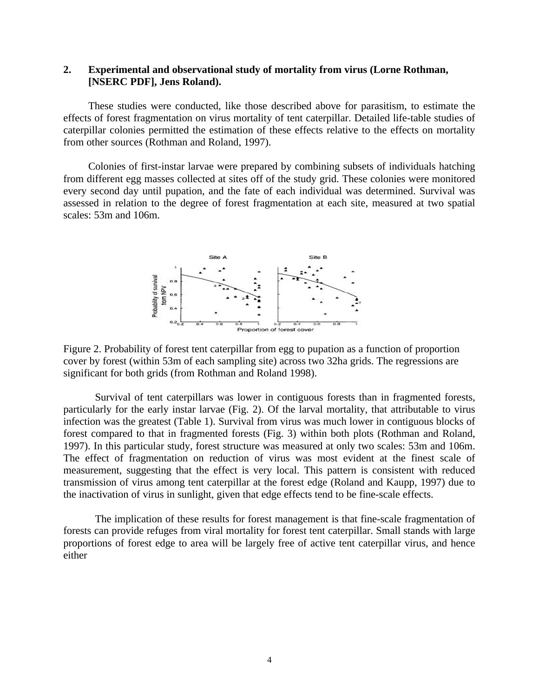#### **2. Experimental and observational study of mortality from virus (Lorne Rothman, [NSERC PDF], Jens Roland).**

These studies were conducted, like those described above for parasitism, to estimate the effects of forest fragmentation on virus mortality of tent caterpillar. Detailed life-table studies of caterpillar colonies permitted the estimation of these effects relative to the effects on mortality from other sources (Rothman and Roland, 1997).

Colonies of first-instar larvae were prepared by combining subsets of individuals hatching from different egg masses collected at sites off of the study grid. These colonies were monitored every second day until pupation, and the fate of each individual was determined. Survival was assessed in relation to the degree of forest fragmentation at each site, measured at two spatial scales: 53m and 106m.



Figure 2. Probability of forest tent caterpillar from egg to pupation as a function of proportion cover by forest (within 53m of each sampling site) across two 32ha grids. The regressions are significant for both grids (from Rothman and Roland 1998).

Survival of tent caterpillars was lower in contiguous forests than in fragmented forests, particularly for the early instar larvae (Fig. 2). Of the larval mortality, that attributable to virus infection was the greatest (Table 1). Survival from virus was much lower in contiguous blocks of forest compared to that in fragmented forests (Fig. 3) within both plots (Rothman and Roland, 1997). In this particular study, forest structure was measured at only two scales: 53m and 106m. The effect of fragmentation on reduction of virus was most evident at the finest scale of measurement, suggesting that the effect is very local. This pattern is consistent with reduced transmission of virus among tent caterpillar at the forest edge (Roland and Kaupp, 1997) due to the inactivation of virus in sunlight, given that edge effects tend to be fine-scale effects.

The implication of these results for forest management is that fine-scale fragmentation of forests can provide refuges from viral mortality for forest tent caterpillar. Small stands with large proportions of forest edge to area will be largely free of active tent caterpillar virus, and hence either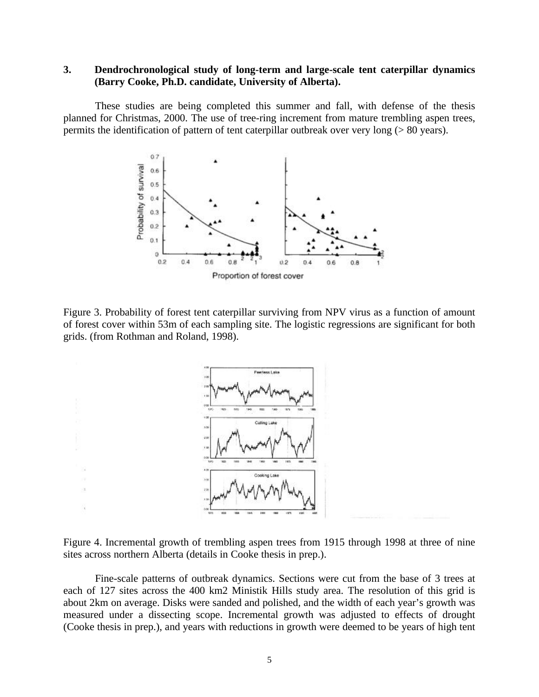#### **3. Dendrochronological study of long-term and large-scale tent caterpillar dynamics (Barry Cooke, Ph.D. candidate, University of Alberta).**

These studies are being completed this summer and fall, with defense of the thesis planned for Christmas, 2000. The use of tree-ring increment from mature trembling aspen trees, permits the identification of pattern of tent caterpillar outbreak over very long (> 80 years).



Figure 3. Probability of forest tent caterpillar surviving from NPV virus as a function of amount of forest cover within 53m of each sampling site. The logistic regressions are significant for both grids. (from Rothman and Roland, 1998).



Figure 4. Incremental growth of trembling aspen trees from 1915 through 1998 at three of nine sites across northern Alberta (details in Cooke thesis in prep.).

Fine-scale patterns of outbreak dynamics. Sections were cut from the base of 3 trees at each of 127 sites across the 400 km2 Ministik Hills study area. The resolution of this grid is about 2km on average. Disks were sanded and polished, and the width of each year's growth was measured under a dissecting scope. Incremental growth was adjusted to effects of drought (Cooke thesis in prep.), and years with reductions in growth were deemed to be years of high tent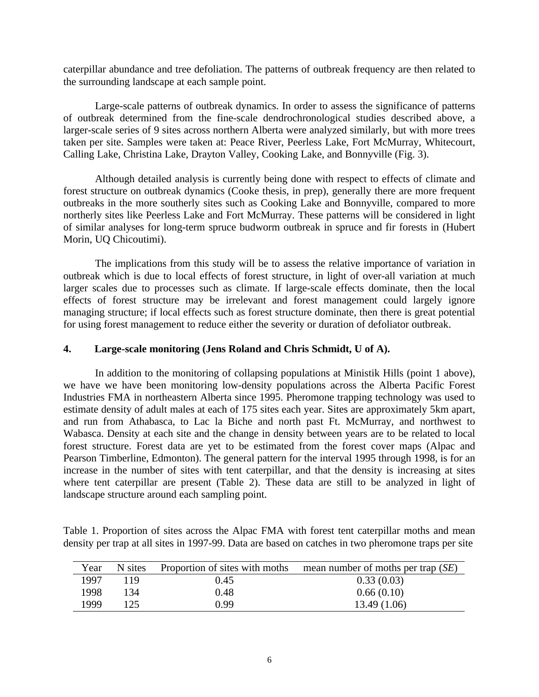caterpillar abundance and tree defoliation. The patterns of outbreak frequency are then related to the surrounding landscape at each sample point.

Large-scale patterns of outbreak dynamics. In order to assess the significance of patterns of outbreak determined from the fine-scale dendrochronological studies described above, a larger-scale series of 9 sites across northern Alberta were analyzed similarly, but with more trees taken per site. Samples were taken at: Peace River, Peerless Lake, Fort McMurray, Whitecourt, Calling Lake, Christina Lake, Drayton Valley, Cooking Lake, and Bonnyville (Fig. 3).

Although detailed analysis is currently being done with respect to effects of climate and forest structure on outbreak dynamics (Cooke thesis, in prep), generally there are more frequent outbreaks in the more southerly sites such as Cooking Lake and Bonnyville, compared to more northerly sites like Peerless Lake and Fort McMurray. These patterns will be considered in light of similar analyses for long-term spruce budworm outbreak in spruce and fir forests in (Hubert Morin, UQ Chicoutimi).

The implications from this study will be to assess the relative importance of variation in outbreak which is due to local effects of forest structure, in light of over-all variation at much larger scales due to processes such as climate. If large-scale effects dominate, then the local effects of forest structure may be irrelevant and forest management could largely ignore managing structure; if local effects such as forest structure dominate, then there is great potential for using forest management to reduce either the severity or duration of defoliator outbreak.

#### **4. Large-scale monitoring (Jens Roland and Chris Schmidt, U of A).**

In addition to the monitoring of collapsing populations at Ministik Hills (point 1 above), we have we have been monitoring low-density populations across the Alberta Pacific Forest Industries FMA in northeastern Alberta since 1995. Pheromone trapping technology was used to estimate density of adult males at each of 175 sites each year. Sites are approximately 5km apart, and run from Athabasca, to Lac la Biche and north past Ft. McMurray, and northwest to Wabasca. Density at each site and the change in density between years are to be related to local forest structure. Forest data are yet to be estimated from the forest cover maps (Alpac and Pearson Timberline, Edmonton). The general pattern for the interval 1995 through 1998, is for an increase in the number of sites with tent caterpillar, and that the density is increasing at sites where tent caterpillar are present (Table 2). These data are still to be analyzed in light of landscape structure around each sampling point.

Table 1. Proportion of sites across the Alpac FMA with forest tent caterpillar moths and mean density per trap at all sites in 1997-99. Data are based on catches in two pheromone traps per site

| Year | N sites | Proportion of sites with moths | mean number of moths per trap $(SE)$ |
|------|---------|--------------------------------|--------------------------------------|
| 1997 | 119     | 0.45                           | 0.33(0.03)                           |
| 1998 | 134     | 0.48                           | 0.66(0.10)                           |
| 1999 |         | 0.99                           | 13.49 (1.06)                         |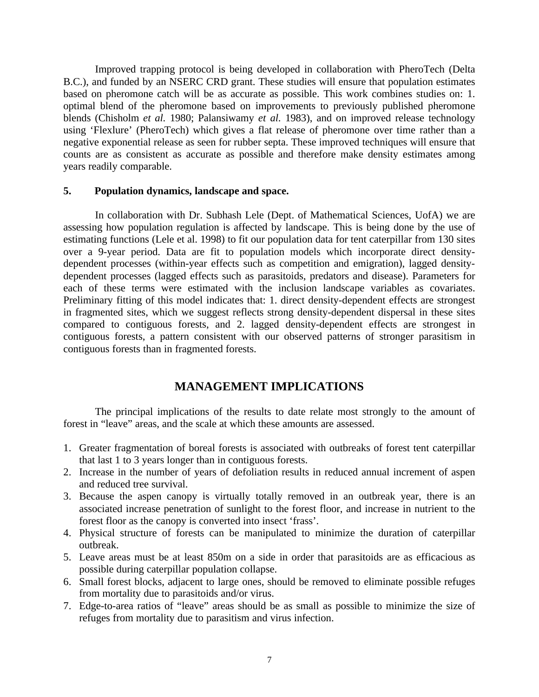Improved trapping protocol is being developed in collaboration with PheroTech (Delta B.C.), and funded by an NSERC CRD grant. These studies will ensure that population estimates based on pheromone catch will be as accurate as possible. This work combines studies on: 1. optimal blend of the pheromone based on improvements to previously published pheromone blends (Chisholm *et al.* 1980; Palansiwamy *et al.* 1983), and on improved release technology using 'Flexlure' (PheroTech) which gives a flat release of pheromone over time rather than a negative exponential release as seen for rubber septa. These improved techniques will ensure that counts are as consistent as accurate as possible and therefore make density estimates among years readily comparable.

#### **5. Population dynamics, landscape and space.**

In collaboration with Dr. Subhash Lele (Dept. of Mathematical Sciences, UofA) we are assessing how population regulation is affected by landscape. This is being done by the use of estimating functions (Lele et al. 1998) to fit our population data for tent caterpillar from 130 sites over a 9-year period. Data are fit to population models which incorporate direct densitydependent processes (within-year effects such as competition and emigration), lagged densitydependent processes (lagged effects such as parasitoids, predators and disease). Parameters for each of these terms were estimated with the inclusion landscape variables as covariates. Preliminary fitting of this model indicates that: 1. direct density-dependent effects are strongest in fragmented sites, which we suggest reflects strong density-dependent dispersal in these sites compared to contiguous forests, and 2. lagged density-dependent effects are strongest in contiguous forests, a pattern consistent with our observed patterns of stronger parasitism in contiguous forests than in fragmented forests.

### **MANAGEMENT IMPLICATIONS**

The principal implications of the results to date relate most strongly to the amount of forest in "leave" areas, and the scale at which these amounts are assessed.

- 1. Greater fragmentation of boreal forests is associated with outbreaks of forest tent caterpillar that last 1 to 3 years longer than in contiguous forests.
- 2. Increase in the number of years of defoliation results in reduced annual increment of aspen and reduced tree survival.
- 3. Because the aspen canopy is virtually totally removed in an outbreak year, there is an associated increase penetration of sunlight to the forest floor, and increase in nutrient to the forest floor as the canopy is converted into insect 'frass'.
- 4. Physical structure of forests can be manipulated to minimize the duration of caterpillar outbreak.
- 5. Leave areas must be at least 850m on a side in order that parasitoids are as efficacious as possible during caterpillar population collapse.
- 6. Small forest blocks, adjacent to large ones, should be removed to eliminate possible refuges from mortality due to parasitoids and/or virus.
- 7. Edge-to-area ratios of "leave" areas should be as small as possible to minimize the size of refuges from mortality due to parasitism and virus infection.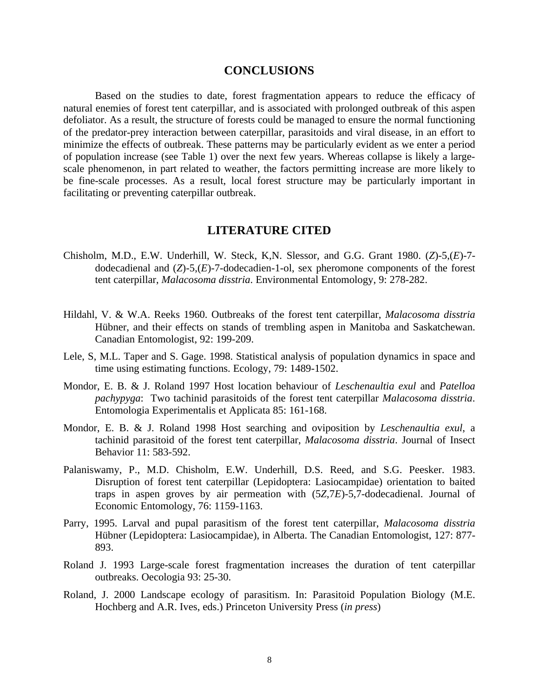#### **CONCLUSIONS**

Based on the studies to date, forest fragmentation appears to reduce the efficacy of natural enemies of forest tent caterpillar, and is associated with prolonged outbreak of this aspen defoliator. As a result, the structure of forests could be managed to ensure the normal functioning of the predator-prey interaction between caterpillar, parasitoids and viral disease, in an effort to minimize the effects of outbreak. These patterns may be particularly evident as we enter a period of population increase (see Table 1) over the next few years. Whereas collapse is likely a largescale phenomenon, in part related to weather, the factors permitting increase are more likely to be fine-scale processes. As a result, local forest structure may be particularly important in facilitating or preventing caterpillar outbreak.

#### **LITERATURE CITED**

- Chisholm, M.D., E.W. Underhill, W. Steck, K,N. Slessor, and G.G. Grant 1980. (*Z*)-5,(*E*)-7 dodecadienal and (*Z*)-5,(*E*)-7-dodecadien-1-ol, sex pheromone components of the forest tent caterpillar, *Malacosoma disstria*. Environmental Entomology, 9: 278-282.
- Hildahl, V. & W.A. Reeks 1960. Outbreaks of the forest tent caterpillar, *Malacosoma disstria* Hübner, and their effects on stands of trembling aspen in Manitoba and Saskatchewan. Canadian Entomologist, 92: 199-209.
- Lele, S, M.L. Taper and S. Gage. 1998. Statistical analysis of population dynamics in space and time using estimating functions. Ecology, 79: 1489-1502.
- Mondor, E. B. & J. Roland 1997 Host location behaviour of *Leschenaultia exul* and *Patelloa pachypyga*: Two tachinid parasitoids of the forest tent caterpillar *Malacosoma disstria*. Entomologia Experimentalis et Applicata 85: 161-168.
- Mondor, E. B. & J. Roland 1998 Host searching and oviposition by *Leschenaultia exul*, a tachinid parasitoid of the forest tent caterpillar, *Malacosoma disstria*. Journal of Insect Behavior 11: 583-592.
- Palaniswamy, P., M.D. Chisholm, E.W. Underhill, D.S. Reed, and S.G. Peesker. 1983. Disruption of forest tent caterpillar (Lepidoptera: Lasiocampidae) orientation to baited traps in aspen groves by air permeation with (5*Z*,7*E*)-5,7-dodecadienal. Journal of Economic Entomology, 76: 1159-1163.
- Parry, 1995. Larval and pupal parasitism of the forest tent caterpillar, *Malacosoma disstria* Hübner (Lepidoptera: Lasiocampidae), in Alberta. The Canadian Entomologist, 127: 877- 893.
- Roland J. 1993 Large-scale forest fragmentation increases the duration of tent caterpillar outbreaks. Oecologia 93: 25-30.
- Roland, J. 2000 Landscape ecology of parasitism. In: Parasitoid Population Biology (M.E. Hochberg and A.R. Ives, eds.) Princeton University Press (*in press*)